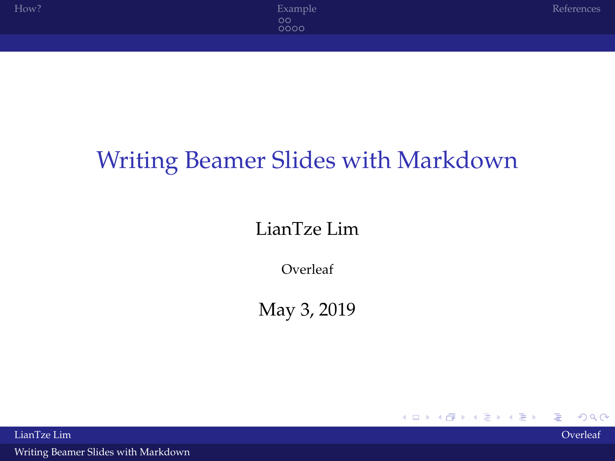## <span id="page-0-0"></span>Writing Beamer Slides with Markdown

#### LianTze Lim

Overleaf

May 3, 2019

 $2Q$ 

K ロト K 個 ト K 差 ト K 差 ト

LianTze Lim Overleaf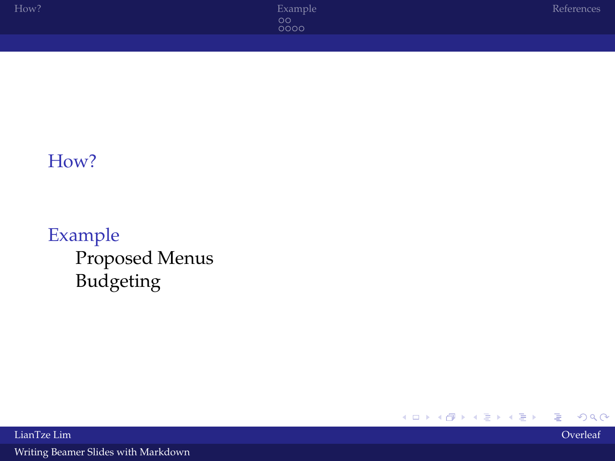#### [How?](#page-2-0)

#### [Example](#page-4-0) [Proposed Menus](#page-4-0) [Budgeting](#page-6-0)

イロトメ 御 トメ 君 トメ 君 ト  $2Q$ ≣

LianTze Lim Overleaf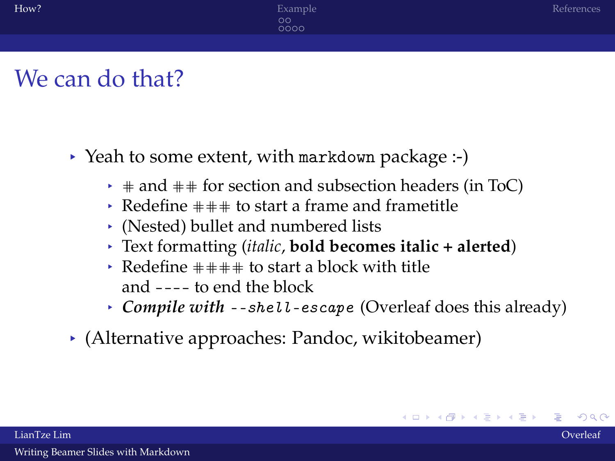### <span id="page-2-0"></span>We can do that?

- § Yeah to some extent, with markdown package :-)
	- $\rightarrow$  # and ## for section and subsection headers (in ToC)
	- $\rightarrow$  Redefine  $\pm \pm \pm$  to start a frame and frametitle
	- § (Nested) bullet and numbered lists
	- § Text formatting (*italic*, **bold becomes italic + alerted**)
	- Redefine  $\pm \pm \pm \pm$  to start a block with title and ---- to end the block
	- § *Compile with* --shell-escape (Overleaf does this already)
- $\rightarrow$  (Alternative approaches: Pandoc, wikitobeamer)

イロトメ 倒 トメ 君 トメ 君 トー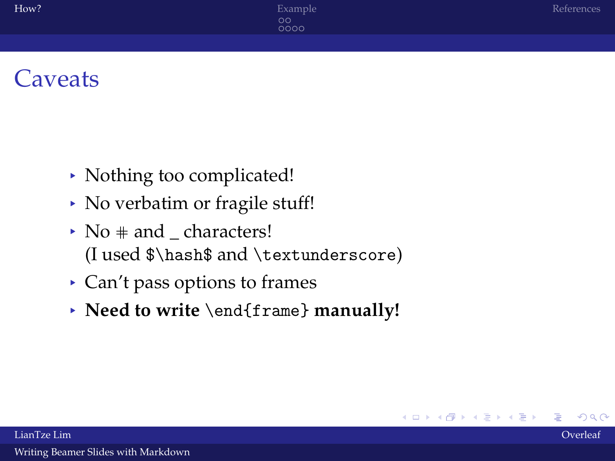### **Caveats**

- § Nothing too complicated!
- § No verbatim or fragile stuff!
- $\rightarrow$  No  $\#$  and characters! (I used \$\hash\$ and \textunderscore)
- § Can't pass options to frames
- § **Need to write** \end{frame} **manually!**

イロト イ伊 トイヨ トイヨト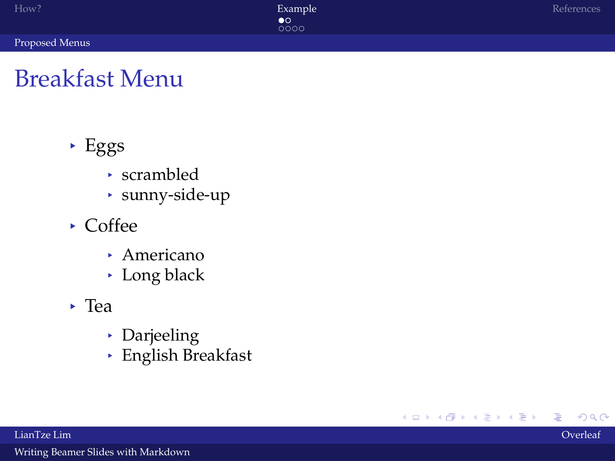<span id="page-4-0"></span>[Proposed Menus](#page-4-0)

 $2Q$ 

メロトメ 御 トメ 君 トメ 君 ト

## Breakfast Menu

- § Eggs
	- § scrambled
	- § sunny-side-up
- § Coffee
	- § Americano
	- § Long black
- § Tea
	- § Darjeeling
	- § English Breakfast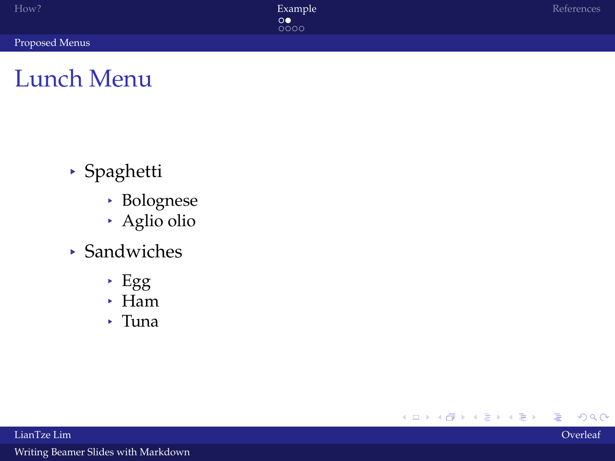[Proposed Menus](#page-4-0)

### Lunch Menu

- § Spaghetti
	- § Bolognese
	- § Aglio olio
- § Sandwiches
	- § Egg
	- § Ham
	- § Tuna

メロトメ 御 トメ 君 トメ 君 ト  $2Q$ ∍

LianTze Lim Overleaf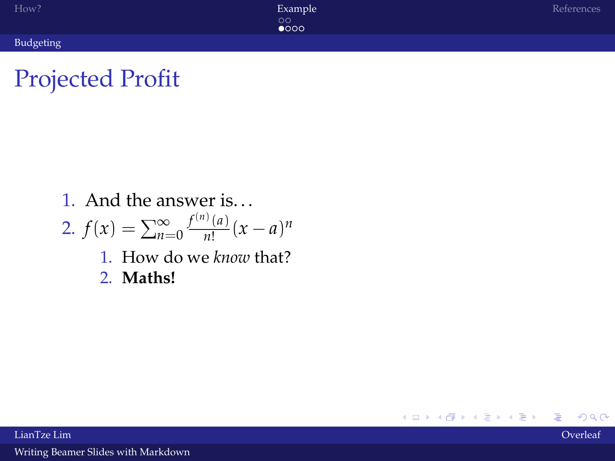<span id="page-6-0"></span>[Budgeting](#page-6-0)

 $2Q$ 

メロトメ部 トメミトメミト

## Projected Profit

1. And the answer is. . .

2. 
$$
f(x) = \sum_{n=0}^{\infty} \frac{f^{(n)}(a)}{n!} (x - a)^n
$$

- 1. How do we *know* that?
- 2. **Maths!**

LianTze Lim Overleaf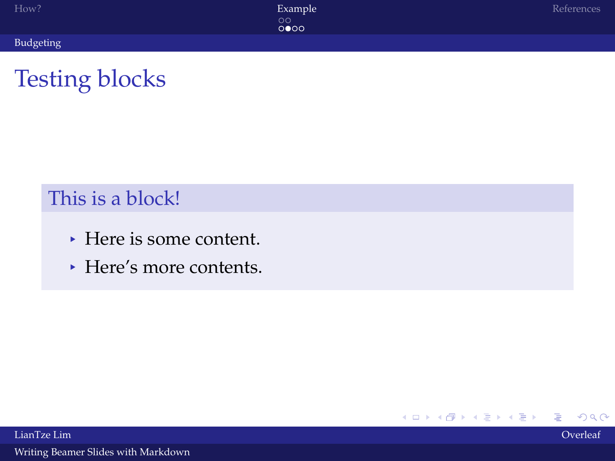| How?      | Example<br>$\circ$<br>0000 | References |
|-----------|----------------------------|------------|
| Budgeting |                            |            |

すロト (個) くをとすをとう

ă

 $2Q$ 

## Testing blocks

#### This is a block!

- § Here is some content.
- § Here's more contents.

LianTze Lim Overleaf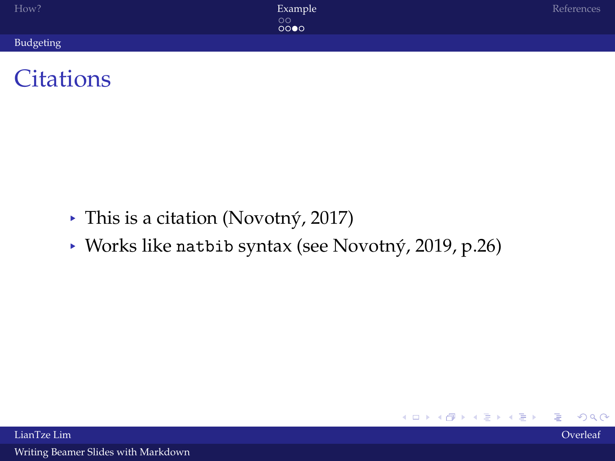| How?      | Example         | References |
|-----------|-----------------|------------|
|           | $\circ$<br>0000 |            |
| Budgeting |                 |            |



- § This is a citation [\(Novotný, 2017\)](#page-10-1)
- § Works like natbib syntax (see [Novotný, 2019,](#page-10-2) p.26)

イロトメ 御 トメ 君 トメ 君 ト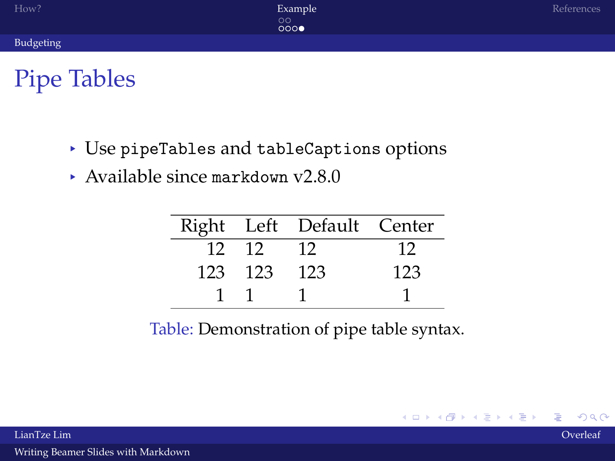## Pipe Tables

- § Use pipeTables and tableCaptions options
- § Available since markdown v2.8.0

J.

|         | Right Left Default Center |     |
|---------|---------------------------|-----|
| 12 12   | - 12                      | 12  |
| 123 123 | - 123                     | 123 |
|         |                           |     |

Table: Demonstration of pipe table syntax.

K ロトメ 個 トメ 差 トメ 差 トー